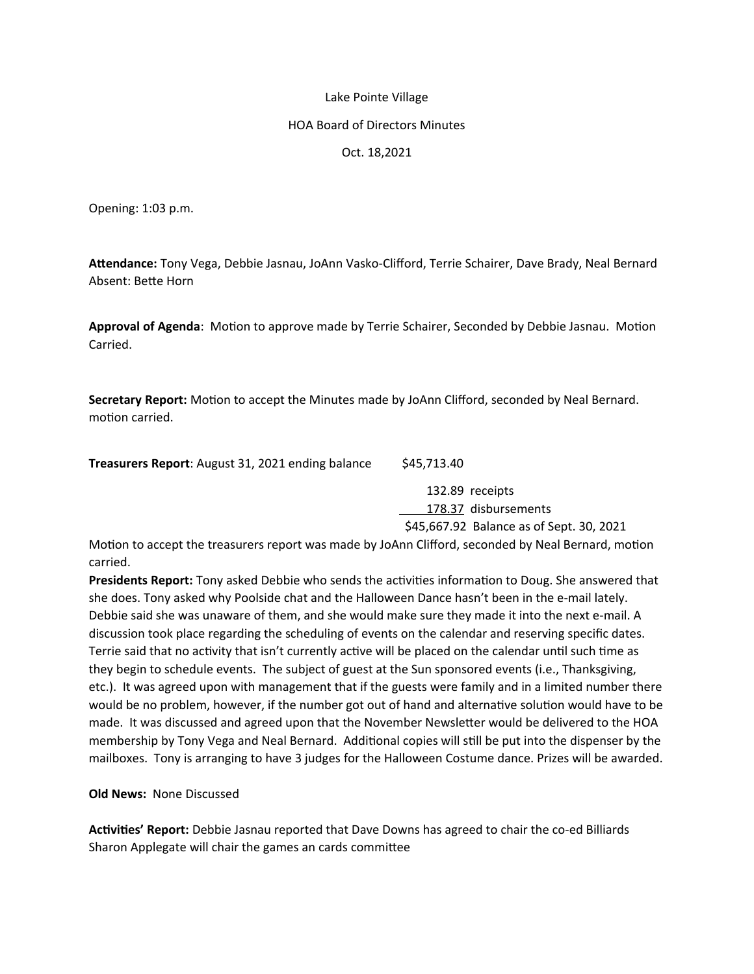## Lake Pointe Village

## HOA Board of Directors Minutes

## Oct. 18,2021

Opening: 1:03 p.m.

**Attendance:** Tony Vega, Debbie Jasnau, JoAnn Vasko-Clifford, Terrie Schairer, Dave Brady, Neal Bernard Absent: Bette Horn

**Approval of Agenda**: Motion to approve made by Terrie Schairer, Seconded by Debbie Jasnau. Motion Carried.

**Secretary Report:** Motion to accept the Minutes made by JoAnn Clifford, seconded by Neal Bernard. motion carried.

**Treasurers Report:** August 31, 2021 ending balance \$45,713.40

132.89 receipts

178.37 disbursements

\$45,667.92 Balance as of Sept. 30, 2021

Motion to accept the treasurers report was made by JoAnn Clifford, seconded by Neal Bernard, motion carried.

**Presidents Report:** Tony asked Debbie who sends the activities information to Doug. She answered that she does. Tony asked why Poolside chat and the Halloween Dance hasn't been in the e-mail lately. Debbie said she was unaware of them, and she would make sure they made it into the next e-mail. A discussion took place regarding the scheduling of events on the calendar and reserving specific dates. Terrie said that no activity that isn't currently active will be placed on the calendar until such time as they begin to schedule events. The subject of guest at the Sun sponsored events (i.e., Thanksgiving, etc.). It was agreed upon with management that if the guests were family and in a limited number there would be no problem, however, if the number got out of hand and alternative solution would have to be made. It was discussed and agreed upon that the November Newsletter would be delivered to the HOA membership by Tony Vega and Neal Bernard. Additional copies will still be put into the dispenser by the mailboxes. Tony is arranging to have 3 judges for the Halloween Costume dance. Prizes will be awarded.

**Old News:** None Discussed

**Activities' Report:** Debbie Jasnau reported that Dave Downs has agreed to chair the co-ed Billiards Sharon Applegate will chair the games an cards committee